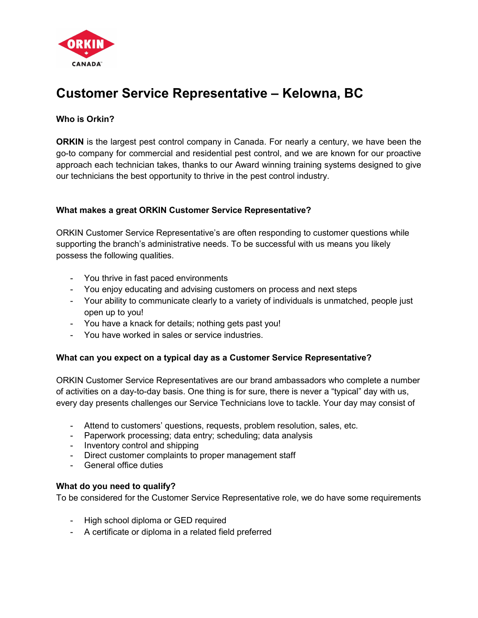

# Customer Service Representative – Kelowna, BC

## Who is Orkin?

**ORKIN** is the largest pest control company in Canada. For nearly a century, we have been the go-to company for commercial and residential pest control, and we are known for our proactive approach each technician takes, thanks to our Award winning training systems designed to give our technicians the best opportunity to thrive in the pest control industry.

#### What makes a great ORKIN Customer Service Representative?

ORKIN Customer Service Representative's are often responding to customer questions while supporting the branch's administrative needs. To be successful with us means you likely possess the following qualities.

- You thrive in fast paced environments
- You enjoy educating and advising customers on process and next steps
- Your ability to communicate clearly to a variety of individuals is unmatched, people just open up to you!
- You have a knack for details; nothing gets past you!
- You have worked in sales or service industries.

#### What can you expect on a typical day as a Customer Service Representative?

ORKIN Customer Service Representatives are our brand ambassadors who complete a number of activities on a day-to-day basis. One thing is for sure, there is never a "typical" day with us, every day presents challenges our Service Technicians love to tackle. Your day may consist of

- Attend to customers' questions, requests, problem resolution, sales, etc.
- Paperwork processing; data entry; scheduling; data analysis
- Inventory control and shipping
- Direct customer complaints to proper management staff
- General office duties

#### What do you need to qualify?

To be considered for the Customer Service Representative role, we do have some requirements

- High school diploma or GED required
- A certificate or diploma in a related field preferred